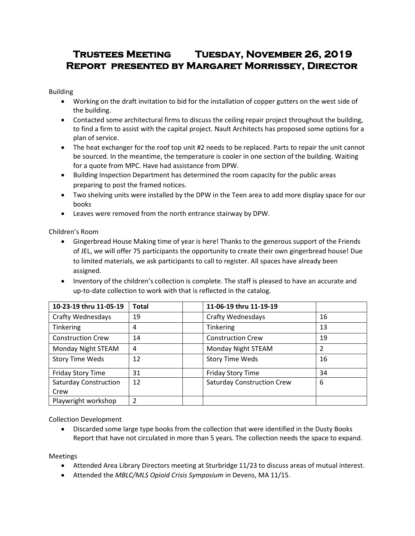# **Trustees Meeting Tuesday, November 26, 2019 Report presented by Margaret Morrissey, Director**

Building

- Working on the draft invitation to bid for the installation of copper gutters on the west side of the building.
- Contacted some architectural firms to discuss the ceiling repair project throughout the building, to find a firm to assist with the capital project. Nault Architects has proposed some options for a plan of service.
- The heat exchanger for the roof top unit #2 needs to be replaced. Parts to repair the unit cannot be sourced. In the meantime, the temperature is cooler in one section of the building. Waiting for a quote from MPC. Have had assistance from DPW.
- Building Inspection Department has determined the room capacity for the public areas preparing to post the framed notices.
- Two shelving units were installed by the DPW in the Teen area to add more display space for our books
- Leaves were removed from the north entrance stairway by DPW.

Children's Room

- Gingerbread House Making time of year is here! Thanks to the generous support of the Friends of JEL, we will offer 75 participants the opportunity to create their own gingerbread house! Due to limited materials, we ask participants to call to register. All spaces have already been assigned.
- Inventory of the children's collection is complete. The staff is pleased to have an accurate and up-to-date collection to work with that is reflected in the catalog.

| 10-23-19 thru 11-05-19       | <b>Total</b> | 11-06-19 thru 11-19-19            |    |
|------------------------------|--------------|-----------------------------------|----|
| Crafty Wednesdays            | 19           | <b>Crafty Wednesdays</b>          | 16 |
| <b>Tinkering</b>             | 4            | Tinkering                         | 13 |
| <b>Construction Crew</b>     | 14           | <b>Construction Crew</b>          | 19 |
| Monday Night STEAM           | 4            | Monday Night STEAM                | 2  |
| <b>Story Time Weds</b>       | 12           | <b>Story Time Weds</b>            | 16 |
| Friday Story Time            | 31           | <b>Friday Story Time</b>          | 34 |
| <b>Saturday Construction</b> | 12           | <b>Saturday Construction Crew</b> | 6  |
| Crew                         |              |                                   |    |
| Playwright workshop          |              |                                   |    |

Collection Development

 Discarded some large type books from the collection that were identified in the Dusty Books Report that have not circulated in more than 5 years. The collection needs the space to expand.

Meetings

- Attended Area Library Directors meeting at Sturbridge 11/23 to discuss areas of mutual interest.
- Attended the *MBLC/MLS Opioid Crisis Symposium* in Devens, MA 11/15.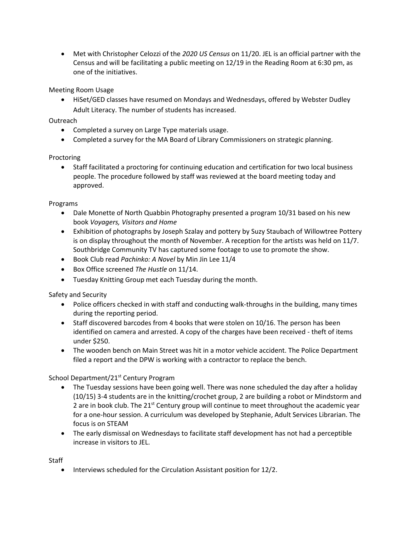Met with Christopher Celozzi of the *2020 US Census* on 11/20. JEL is an official partner with the Census and will be facilitating a public meeting on 12/19 in the Reading Room at 6:30 pm, as one of the initiatives.

Meeting Room Usage

 HiSet/GED classes have resumed on Mondays and Wednesdays, offered by Webster Dudley Adult Literacy. The number of students has increased.

Outreach

- Completed a survey on Large Type materials usage.
- Completed a survey for the MA Board of Library Commissioners on strategic planning.

Proctoring

 Staff facilitated a proctoring for continuing education and certification for two local business people. The procedure followed by staff was reviewed at the board meeting today and approved.

Programs

- Dale Monette of North Quabbin Photography presented a program 10/31 based on his new book *Voyagers, Visitors and Home*
- Exhibition of photographs by Joseph Szalay and pottery by Suzy Staubach of Willowtree Pottery is on display throughout the month of November. A reception for the artists was held on 11/7. Southbridge Community TV has captured some footage to use to promote the show.
- Book Club read *Pachinko: A Novel* by Min Jin Lee 11/4
- Box Office screened *The Hustle* on 11/14.
- Tuesday Knitting Group met each Tuesday during the month.

Safety and Security

- Police officers checked in with staff and conducting walk-throughs in the building, many times during the reporting period.
- Staff discovered barcodes from 4 books that were stolen on 10/16. The person has been identified on camera and arrested. A copy of the charges have been received - theft of items under \$250.
- The wooden bench on Main Street was hit in a motor vehicle accident. The Police Department filed a report and the DPW is working with a contractor to replace the bench.

School Department/21<sup>st</sup> Century Program

- The Tuesday sessions have been going well. There was none scheduled the day after a holiday (10/15) 3-4 students are in the knitting/crochet group, 2 are building a robot or Mindstorm and 2 are in book club. The 21<sup>st</sup> Century group will continue to meet throughout the academic year for a one-hour session. A curriculum was developed by Stephanie, Adult Services Librarian. The focus is on STEAM
- The early dismissal on Wednesdays to facilitate staff development has not had a perceptible increase in visitors to JEL.

**Staff** 

• Interviews scheduled for the Circulation Assistant position for 12/2.